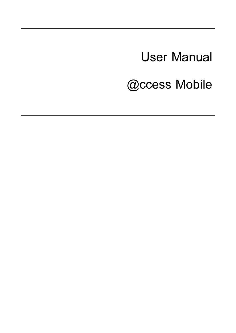**User Manual @ccess Mobile**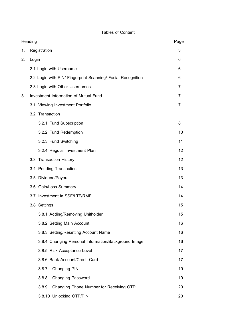# **Tables of Content**

| Heading |                                                              |    |  |
|---------|--------------------------------------------------------------|----|--|
| 1.      | Registration                                                 | 3  |  |
| 2.      | Login                                                        | 6  |  |
|         | 2.1 Login with Username                                      | 6  |  |
|         | 2.2 Login with PIN/ Fingerprint Scanning/ Facial Recognition | 6  |  |
|         | 2.3 Login with Other Usernames                               | 7  |  |
| 3.      | Investment Information of Mutual Fund                        | 7  |  |
|         | 3.1 Viewing Investment Portfolio                             | 7  |  |
|         | 3.2 Transaction                                              |    |  |
|         | 3.2.1 Fund Subscription                                      | 8  |  |
|         | 3.2.2 Fund Redemption                                        | 10 |  |
|         | 3.2.3 Fund Switching                                         | 11 |  |
|         | 3.2.4 Regular Investment Plan                                | 12 |  |
|         | 3.3 Transaction History                                      | 12 |  |
|         | 3.4 Pending Transaction                                      | 13 |  |
|         | 3.5 Dividend/Payout                                          | 13 |  |
|         | 3.6 Gain/Loss Summary                                        | 14 |  |
|         | 3.7 Investment in SSF/LTF/RMF                                | 14 |  |
|         | 3.8 Settings                                                 | 15 |  |
|         | 3.8.1 Adding/Removing Unitholder                             | 15 |  |
|         | 3.8.2 Setting Main Account                                   | 16 |  |
|         | 3.8.3 Setting/Resetting Account Name                         | 16 |  |
|         | 3.8.4 Changing Personal Information/Background Image         | 16 |  |
|         | 3.8.5 Risk Acceptance Level                                  | 17 |  |
|         | 3.8.6 Bank Account/Credit Card                               | 17 |  |
|         | 3.8.7<br><b>Changing PIN</b>                                 | 19 |  |
|         | 3.8.8<br><b>Changing Password</b>                            | 19 |  |
|         | 3.8.9<br>Changing Phone Number for Receiving OTP             | 20 |  |
|         | 3.8.10 Unlocking OTP/PIN                                     | 20 |  |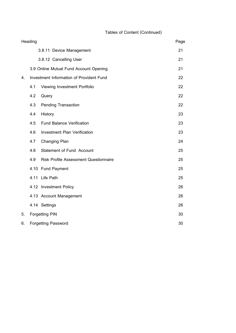# **Tables of Content (Continued)**

|    | Heading               |                                              | Page |  |  |
|----|-----------------------|----------------------------------------------|------|--|--|
|    |                       | 3.8.11 Device Management                     | 21   |  |  |
|    |                       | 3.8.12 Cancelling User                       | 21   |  |  |
|    |                       | 3.9 Online Mutual Fund Account Opening       | 21   |  |  |
| 4. |                       | Investment Information of Provident Fund     | 22   |  |  |
|    | 4.1                   | Viewing Investment Portfolio                 |      |  |  |
|    | 4.2                   | Query                                        | 22   |  |  |
|    | 4.3                   | <b>Pending Transaction</b>                   | 22   |  |  |
|    | 4.4                   | History                                      | 23   |  |  |
|    | 4.5                   | <b>Fund Balance Verification</b>             | 23   |  |  |
|    | 4.6                   | <b>Investment Plan Verification</b>          | 23   |  |  |
|    | 4.7                   | <b>Changing Plan</b>                         | 24   |  |  |
|    | 4.8                   | Statement of Fund Account                    | 25   |  |  |
|    | 4.9                   | <b>Risk Profile Assessment Questionnaire</b> | 25   |  |  |
|    |                       | 4.10 Fund Payment                            | 25   |  |  |
|    | 4.11                  | Life Path                                    | 25   |  |  |
|    |                       | 4.12 Investment Policy                       | 26   |  |  |
|    |                       | 4.13 Account Management                      | 26   |  |  |
|    |                       | 4.14 Settings                                | 26   |  |  |
| 5. | <b>Forgetting PIN</b> |                                              |      |  |  |
| 6. |                       | <b>Forgetting Password</b>                   | 30   |  |  |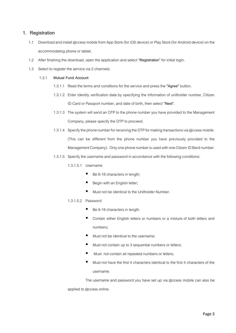# **1. Registration**

- 1.1 Download and install @ccess mobile fro[m App Store \(for iOS device\)](https://itunes.apple.com/th/app/tmb-touch/id884079963?l=th&mt=8)or [Play Store \(for Android device\)](https://play.google.com/store/apps/details?id=com.TMBTOUCH.PRODUCTION)on the accommodating phone or tablet.
- 1.2 After finishing the download, open the application and select **"Registration"** for initial login.
- 1.3 Select to register the service via 2 channels:

## 1.3.1 **Mutual Fund Account**

- 1.3.1.1 Read the terms and conditions for the service and press the **"Agree"** button.
- 1.3.1.2 Enter identity verification data by specifying the information of unitholder number, Citizen ID Card or Passport number, and date of birth, then select **"Next".**
- 1.3.1.3 The system will send an OTP to the phone number you have provided to the Management Company, please specify the OTP to proceed.
- 1.3.1.4 Specify the phone number for receiving the OTP for making transactions via @ccess mobile. (This can be different from the phone number you have previously provided to the Management Company). Only one phone number is used with one Citizen ID Bard number.
- 1.3.1.5 Specify the username and password in accordance with the following conditions:
	- 1.3.1.5.1 Username
		- Be 6-18 characters in length;
		- Begin with an English letter;
		- Must not be identical to the Unitholder Number.
	- 1.3.1.5.2 Password
		- Be 8-18 characters in length.
		- Contain either English letters or numbers or a mixture of both letters and numbers;
		- Must not be identical to the username;
		- Must not contain up to 3 sequential numbers or letters:
		- Must not contain all repeated numbers or letters:
		- Must not have the first 4 characters identical to the first 4 characters of the username.

The username and password you have set up via @ccess mobile can also be applied to @ccess online.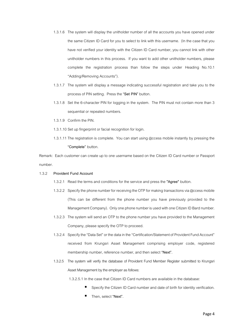- 1.3.1.6 The system will display the unitholder number of all the accounts you have opened under the same Citizen ID Card for you to select to link with this username. (In the case that you have not verified your identity with the Citizen ID Card number, you cannot link with other unitholder numbers in this process. If you want to add other unitholder numbers, please complete the registration process than follow the steps under Heading No.10.1 "Adding/Removing Accounts").
- 1.3.1.7 The system will display a message indicating successful registration and take you to the process of PIN setting. Press the **"Set PIN"** button.
- 1.3.1.8 Set the 6-character PIN for logging in the system. The PIN must not contain more than 3 sequential or repeated numbers.
- 1.3.1.9 Confirm the PIN.
- 1.3.1.10 Set up fingerprint or facial recognition for login.
- 1.3.1.11 The registration is complete. You can start using @ccess mobile instantly by pressing the **"Complete"** button.

Remark: Each customer can create up to one username based on the Citizen ID Card number or Passport number.

#### 1.3.2 **Provident Fund Account**

- 1.3.2.1 Read the terms and conditions for the service and press the **"Agree"** button.
- 1.3.2.2 Specify the phone number for receiving the OTP for making transactions via @ccess mobile (This can be different from the phone number you have previously provided to the Management Company). Only one phone number is used with one Citizen ID Bard number.
- 1.3.2.3 The system will send an OTP to the phone number you have provided to the Management Company, please specify the OTP to proceed.
- 1.3.2.4 Specify the "Data Set" or the data in the "Certification/Statement of Provident Fund Account" received from Krungsri Asset Management comprising employer code, registered membership number, reference number, and then select **"Next".**
- 1.3.2.5 The system will verify the database of Provident Fund Member Register submitted to Krungsri Asset Management by the employer as follows:

1.3.2.5.1 In the case that Citizen ID Card numbers are available in the database:

- Specify the Citizen ID Card number and date of birth for identity verification.
- Then, select "Next".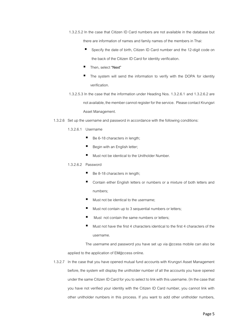1.3.2.5.2 In the case that Citizen ID Card numbers are not available in the database but

there are information of names and family names of the members in Thai:

- Specify the date of birth, Citizen ID Card number and the 12-digit code on the back of the Citizen ID Card for identity verification.
- Then, select **"Next"**
- The system will send the information to verify with the DOPA for identity verification.
- 1.3.2.5.3 In the case that the information under Heading Nos. 1.3.2.6.1 and 1.3.2.6.2 are not available, the member cannot register for the service. Please contact Krungsri Asset Management.
- 1.3.2.6 Set up the username and password in accordance with the following conditions:
	- 1.3.2.6.1 Username
		- Be 6-18 characters in length;
		- Begin with an English letter;
		- Must not be identical to the Unitholder Number.

### 1.3.2.6.2 Password

- Be 8-18 characters in length:
- Contain either English letters or numbers or a mixture of both letters and numbers;
- Must not be identical to the username;
- Must not contain up to 3 sequential numbers or letters;
- Must not contain the same numbers or letters:
- $\blacksquare$  Must not have the first 4 characters identical to the first 4 characters of the username.

The username and password you have set up via @ccess mobile can also be applied to the application of EM@ccess online.

1.3.2.7 In the case that you have opened mutual fund accounts with Krungsri Asset Management before, the system will display the unitholder number of all the accounts you have opened under the same Citizen ID Card for you to select to link with this username. (In the case that you have not verified your identity with the Citizen ID Card number, you cannot link with other unitholder numbers in this process. If you want to add other unitholder numbers,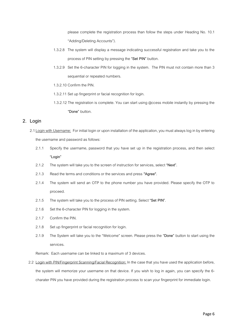please complete the registration process than follow the steps under Heading No. 10.1 "Adding/Deleting Accounts").

- 1.3.2.8 The system will display a message indicating successful registration and take you to the process of PIN setting by pressing the **"Set PIN"** button.
- 1.3.2.9 Set the 6-character PIN for logging in the system. The PIN must not contain more than 3 sequential or repeated numbers.
- 1.3.2.10 Confirm the PIN.
- 1.3.2.11 Set up fingerprint or facial recognition for login.
- 1.3.2.12 The registration is complete. You can start using @ccess mobile instantly by pressing the **"Done"** button.

# **2. Login**

- 2.1 Login with Username: For initial login or upon installation of the application, you must always log in by entering the username and password as follows:
	- 2.1.1 Specify the username, password that you have set up in the registration process, and then select **"Login"**
	- 2.1.2 The system will take you to the screen of instruction for services, select **"Next".**
	- 2.1.3 Read the terms and conditions or the services and press **"Agree".**
	- 2.1.4 The system will send an OTP to the phone number you have provided. Please specify the OTP to proceed.
	- 2.1.5 The system will take you to the process of PIN setting. Select **"Set PIN"**.
	- 2.1.6 Set the 6-character PIN for logging in the system.
	- 2.1.7 Confirm the PIN.
	- 2.1.8 Set up fingerprint or facial recognition for login.
	- 2.1.9 The System will take you to the "Welcome" screen. Please press the **"Done"** button to start using the services.

Remark: Each username can be linked to a maximum of 3 devices.

2.2 Login with PIN/Fingerprint Scanning/Facial Recognition: In the case that you have used the application before, the system will memorize your username on that device. If you wish to log in again, you can specify the 6 charater PIN you have provided during the registration process to scan your fingerprint for immediate login.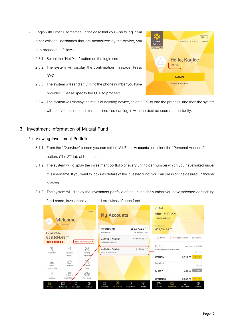- 2.3 Login with Other Usernames: In the case that you wish to log in via other existing usernames that are memorized by the device, you can proceed as follows:
	- 2.3.1 Select the **"Not You"** button on the login screen.
	- 2.3.2 The system will display the confirmation message. Press **"OK"**
	- 2.3.3 The system will send an OTP to the phone number you have provided. Please specify the OTP to proceed.



2.3.4 The system will display the result of deleting device, select **"OK"** to end the process, and then the system will take you back to the main screen. You can log in with the desired username instantly.

# **3. Investment Information of Mutual Fund**

- 3.1 **Viewing Investment Portfolio**
	- 3.1.1 From the "Overview" screen you can select **"All Fund Accounts**" or select the "Personal Account" button. (The  $2^{nd}$  tab at bottom).
	- 3.1.2 The system will display the investment portfolio of every unitholder number which you have linked under this username. If you want to look into details of the invested fund, you can press on the desired unitholder number.
	- 3.1.3 The system will display the investment portfolio of the unitholder number you have selected comprising fund name, investment value, and profit/loss of each fund.

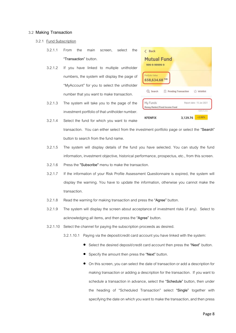### 3.2 **Making Transaction**

- 3.2.1 Fund Subscription
	- 3.2.1.1 From the main screen, select the **"Transaction"** button.
	- 3.2.1.2 If you have linked to multiple unitholder numbers, the system will display the page of "MyAccount" for you to select the unitholder number that you want to make transaction.
	- 3.2.1.3 The system will take you to the page of the investment portfolio of that unitholder number.



- 3.2.1.4 Select the fund for which you want to make transaction. You can either select from the investment portfolio page or select the **"Search"**  button to search from the fund name.
- 3.2.1.5 The system will display details of the fund you have selected. You can study the fund information, investment objective, historical performance, prospectus, etc., from this screen.
- 3.2.1.6 Press the **"Subscribe"** menu to make the transaction.
- 3.2.1.7 If the information of your Risk Profile Assessment Questionnaire is expired, the system will display the warning. You have to update the information, otherwise you cannot make the transaction.
- 3.2.1.8 Read the warning for making transaction and press the **"Agree"** button.
- 3.2.1.9 The system will display the screen about acceptance of investment risks (if any). Select to acknowledging all items, and then press the **"Agree"** button.
- 3.2.1.10 Select the channel for paying the subscription proceeds as desired.
	- 3.2.1.10.1 Paying via the deposit/credit card account you have linked with the system:
		- Select the desired deposit/credit card account then press the **"Next"** button.
		- Specify the amount then press the **"Next"** button.
		- On this screen, you can select the date of transaction or add a description for making transaction or adding a description for the transaction. If you want to schedule a transaction in advance, select the **"Schedule"** button, then under the heading of "Scheduled Transaction" select **"Single"** together with specifying the date on which you want to make the transaction, and then press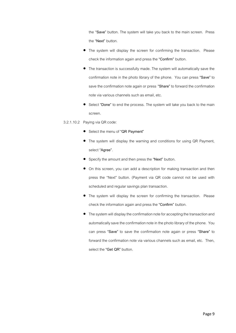the **"Save"** button. The system will take you back to the main screen. Press the **"Next"** button.

- The system will display the screen for confirming the transaction. Please check the information again and press the **"Confirm"** button.
- The transaction is successfully made. The system will automatically save the confirmation note in the photo library of the phone. You can press **"Save"** to save the confirmation note again or press **"Share"** to forward the confirmation note via various channels such as email, etc.
- Select **"Done"** to end the process. The system will take you back to the main screen.
- 3.2.1.10.2 Paying via QR code:
	- Select the menu of **"QR Payment"**
	- The system will display the warning and conditions for using QR Payment. select **"Agree"**.
	- Specify the amount and then press the **"Next"** button.
	- On this screen, you can add a description for making transaction and then press the "Next" button. (Payment via QR code cannot not be used with scheduled and regular savings plan transaction.
	- The system will display the screen for confirming the transaction. Please check the information again and press the **"Confirm"** button.
	- The system will display the confirmation note for accepting the transaction and automatically save the confirmation note in the photo library of the phone. You can press **"Save"** to save the confirmation note again or press **"Share"** to forward the confirmation note via various channels such as email, etc. Then, select the **"Get QR"** button.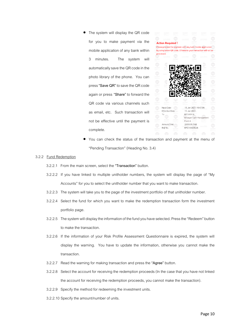The system will display the QR code for you to make payment via the mobile application of any bank within 3 minutes. The system will automatically save the QR code in the photo library of the phone. You can press **"Save QR"** to save the QR code again or press **"Share"** to forward the QR code via various channels such as email, etc. Such transaction will not be effective until the payment is complete.



• You can check the status of the transaction and payment at the menu of "Pending Transaction" (Heading No. 3.4)

### 3.2.2 Fund Redemption

- 3.2.2.1 From the main screen, select the **"Transaction"** button.
- 3.2.2.2 If you have linked to multiple unitholder numbers, the system will display the page of "My Accounts" for you to select the unitholder number that you want to make transaction.
- 3.2.2.3 The system will take you to the page of the investment portfolio of that unitholder number.
- 3.2.2.4 Select the fund for which you want to make the redemption transaction form the investment portfolio page.
- 3.2.2.5 The system will display the information of the fund you have selected. Press the "Redeem" button to make the transaction.
- 3.2.2.6 If the information of your Risk Profile Assessment Questionnaire is expired, the system will display the warning. You have to update the information, otherwise you cannot make the transaction.
- 3.2.2.7 Read the warning for making transaction and press the **"Agree"** button.
- 3.2.2.8 Select the account for receiving the redemption proceeds (In the case that you have not linked the account for receiving the redemption proceeds, you cannot make the transaction).
- 3.2.2.9 Specify the method for redeeming the investment units.
- 3.2.2.10 Specify the amount/number of units.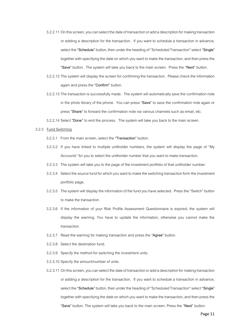- 3.2.2.11 On this screen, you can select the date of transaction or add a description for making transaction or adding a description for the transaction. If you want to schedule a transaction in advance, select the **"Schedule"** button, then under the heading of "Scheduled Transaction" select **"Single"**  together with specifying the date on which you want to make the transaction, and then press the **"Save"** button. The system will take you back to the main screen. Press the **"Next"** button.
- 3.2.2.12 The system will display the screen for confirming the transaction. Please check the information again and press the **"Confirm"** button.
- 3.2.2.13 The transaction is successfully made. The system will automatically save the confirmation note in the photo library of the phone. You can press **"Save"** to save the confirmation note again or press **"Share"** to forward the confirmation note via various channels such as email, etc.
- 3.2.2.14 Select **"Done"** to end the process.The system will take you back to the main screen.

## 3.2.3 Fund Switching

- 3.2.3.1 From the main screen, select the **"Transaction"** button.
- 3.2.3.2 If you have linked to multiple unitholder numbers, the system will display the page of "My Accounts" for you to select the unitholder number that you want to make transaction.
- 3.2.3.3 The system will take you to the page of the investment portfolio of that unitholder number.
- 3.2.3.4 Select the source fund for which you want to make the switching transaction form the investment portfolio page.
- 3.2.3.5 The system will display the information of the fund you have selected. Press the "Switch" button to make the transaction.
- 3.2.3.6 If the information of your Risk Profile Assessment Questionnaire is expired, the system will display the warning. You have to update the information, otherwise you cannot make the transaction.
- 3.2.3.7 Read the warning for making transaction and press the **"Agree"** button.
- 3.2.3.8 Select the destination fund.
- 3.2.3.9 Specify the method for switching the investment units.
- 3.2.3.10 Specify the amount/number of units.
- 3.2.3.11 On this screen, you can select the date of transaction or add a description for making transaction or adding a description for the transaction. If you want to schedule a transaction in advance, select the **"Schedule"** button, then under the heading of "Scheduled Transaction" select **"Single"**  together with specifying the date on which you want to make the transaction, and then press the **"Save"** button. The system will take you back to the main screen. Press the **"Next"** button.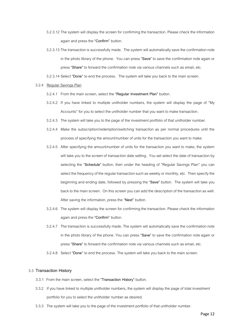- 3.2.3.12 The system will display the screen for confirming the transaction. Please check the information again and press the **"Confirm"** button.
- 3.2.3.13 The transaction is successfully made. The system will automatically save the confirmation note in the photo library of the phone. You can press **"Save"** to save the confirmation note again or press **"Share"** to forward the confirmation note via various channels such as email, etc.

3.2.3.14 Select **"Done"** to end the process.The system will take you back to the main screen.

### 3.2.4 Regular Savings Plan

- 3.2.4.1 From the main screen, select the **"Regular Investment Plan"** button.
- 3.2.4.2 If you have linked to multiple unitholder numbers, the system will display the page of "My Accounts" for you to select the unitholder number that you want to make transaction.
- 3.2.4.3 The system will take you to the page of the investment portfolio of that unitholder number.
- 3.2.4.4 Make the subscription/redemption/switching transaction as per normal procedures until the process of specifying the amount/number of units for the transaction you want to make.
- 3.2.4.5 After specifying the amount/number of units for the transaction you want to make, the system will take you to the screen of transaction date setting. You set select the date of transaction by selecting the **"Schedule"** button, then under the heading of "Regular Savings Plan" you can select the frequency of the regular transaction such as weekly or monthly, etc. Then specify the beginning and ending date, followed by pressing the **"Save"** button. The system will take you back to the main screen. On this screen you can add the description of the transaction as well. After saving the information, press the **"Next"** button.
- 3.2.4.6 The system will display the screen for confirming the transaction. Please check the information again and press the **"Confirm"** button.
- 3.2.4.7 The transaction is successfully made. The system will automatically save the confirmation note in the photo library of the phone. You can press **"Save"** to save the confirmation note again or press **"Share"** to forward the confirmation note via various channels such as email, etc.
- 3.2.4.8 Select **"Done"** to end the process. The system will take you back to the main screen.

### 3.3 **Transaction History**

- 3.3.1 From the main screen, select the **"Transaction History"** button.
- 3.3.2 If you have linked to multiple unitholder numbers, the system will display the page of total investment portfolio for you to select the unitholder number as desired.
- 3.3.3 The system will take you to the page of the investment portfolio of that unitholder number.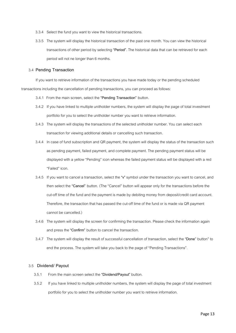- 3.3.4 Select the fund you want to view the historical transactions.
- 3.3.5 The system will display the historical transaction of the past one month. You can view the historical transactions of other period by selecting **"Period"**. The historical data that can be retrieved for each period will not ne longer than 6 months.

#### 3.4 **Pending Transaction**

If you want to retrieve information of the transactions you have made today or the pending scheduled transactions including the cancellation of pending transactions, you can proceed as follows:

- 3.4.1 From the main screen, select the **"Pending Transaction"** button.
- 3.4.2 If you have linked to multiple unitholder numbers, the system will display the page of total investment portfolio for you to select the unitholder number you want to retrieve information.
- 3.4.3 The system will display the transactions of the selected unitholder number. You can select each transaction for viewing additional details or cancelling such transaction.
- 3.4.4 In case of fund subscription and QR payment, the system will display the status of the transaction such as pending payment, failed payment, and complete payment. The pending payment status will be displayed with a yellow "Pending" icon whereas the failed payment status will be displayed with a red "Failed" icon.
- 3.4.5 If you want to cancel a transaction, select the **"v"** symbol under the transaction you want to cancel,and then select the **"Cancel"** button. (The "Cancel" button will appear only for the transactions before the cut-off time of the fund and the payment is made by debiting money from deposit/credit card account. Therefore, the transaction that has passed the cut-off time of the fund or is made via QR payment cannot be cancelled.)
- 3.4.6 The system will display the screen for confirming the transaction. Please check the information again and press the **"Confirm"** button to cancel the transaction.
- 3.4.7 The system will display the result of successful cancellation of transaction, select the **"Done**" button" to end the process. The system will take you back to the page of "Pending Transactions".

### 3.5 **Dividend/ Payout**

- 3.5.1 From the main screen select the **"Dividend/Payout"** button.
- 3.5.2 If you have linked to multiple unitholder numbers, the system will display the page of total investment portfolio for you to select the unitholder number you want to retrieve information.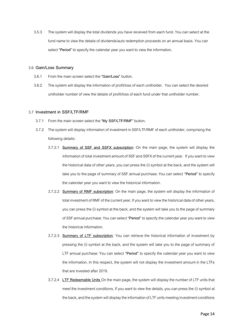3.5.3 The system will display the total dividends you have received from each fund. You can select at the fund name to view the details of dividends/auto redemption proceeds on an annual basis. You can select **"Period"** to specify the calendar year you want to view the information.

#### 3.6 **Gain/Loss Summary**

- 3.6.1 From the main screen select the **"Gain/Loss"** button.
- 3.6.2 The system will display the information of profit/loss of each unitholder. You can select the desired unitholder number of view the details of profit/loss of each fund under that unitholder number.

#### 3.7 **Investment in SSF/LTF/RMF**

- 3.7.1 From the main screen select the **"My SSF/LTF/RMF"** button.
- 3.7.2 The system will display information of investment in SSF/LTF/RMF of each unitholder, comprising the following details:
	- 3.7.2.1 **Summary of SSF and SSFX subscription:** On the main page, the system will display the information of total investment amount of SSF and SSFX of the current year. If you want to view the historical data of other years, you can press the (i) symbol at the back, and the system will take you to the page of summary of SSF annual purchase. You can select **"Period"** to specify the calendar year you want to view the historical information.
	- 3.7.2.2 **Summary of RMF subscription:** On the main page, the system will display the information of total investment of RMF of the current year. If you want to view the historical data of other years, you can press the (i) symbol at the back, and the system will take you to the page of summary of SSF annual purchase. You can select **"Period"** to specify the calendar year you want to view the historical information.
	- 3.7.2.3 **Summary of LTF subscription:** You can retrieve the historical information of investment by pressing the (i) symbol at the back, and the system will take you to the page of summary of LTF annual purchase. You can select **"Period"** to specify the calendar year you want to view the information. In this respect, the system will not display the investment amount in the LTFs that are invested after 2019.
	- 3.7.2.4 **LTF Redeemable Units** On the main page, the system will display the number of LTF units that meet the investment conditions. If you want to view the details, you can press the (i) symbol at the back, and the system will display the information of LTF units meeting investment conditions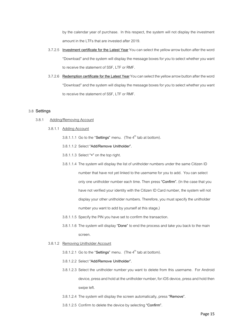by the calendar year of purchase. In this respect, the system will not display the investment amount in the LTFs that are invested after 2019.

- 3.7.2.5 **Investment certificate for the Latest Year** You can select the yellow arrow button after the word "Download" and the system will display the message boxes for you to select whether you want to receive the statement of SSF, LTF or RMF.
- 3.7.2.6 Redemption certificate for the Latest Year You can select the yellow arrow button after the word "Download" and the system will display the message boxes for you to select whether you want to receive the statement of SSF, LTF or RMF.

### 3.8 **Settings**

- 3.8.1 Adding/Removing Account
	- 3.8.1.1 Adding Account
		- 3.8.1.1.1 Go to the "Settings" menu. (The 4<sup>th</sup> tab at bottom).
		- 3.8.1.1.2 Select **"Add/Remove Unitholder".**
		- 3.8.1.1.3 Select **"+"** on the top right.
		- 3.8.1.1.4 The system will display the list of unitholder numbers under the same Citizen ID number that have not yet linked to the username for you to add. You can select only one unitholder number each time. Then press **"Confirm".** (In the case that you have not verified your identity with the Citizen ID Card number, the system will not display your other unitholder numbers. Therefore, you must specify the unitholder number you want to add by yourself at this stage,)
		- 3.8.1.1.5 Specify the PIN you have set to confirm the transaction.
		- 3.8.1.1.6 The system will display **"Done"** to end the process and take you back to the main screen.
	- 3.8.1.2 Removing Unitholder Account

3.8.1.2.1 Go to the "Settings" menu. (The 4<sup>th</sup> tab at bottom).

- 3.8.1.2.2 Select **"Add/Remove Unitholder".**
- 3.8.1.2.3 Select the unitholder number you want to delete from this username. For Android device, press and hold at the unitholder number, for iOS device, press and hold then swipe left.
- 3.8.1.2.4 The system will display the screen automatically, press **"Remove"**.
- 3.8.1.2.5 Confirm to delete the device by selecting **"Confirm"**.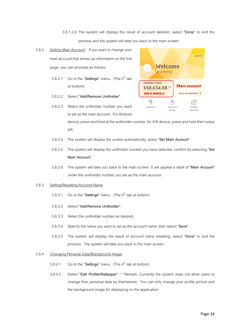3.8.1.2.6 The system will display the result of account deletion, select **"Done"** to end the process and the system will take you back to the main screen.

- 3.8.2 Setting Main Account: If you want to change your main account that shows up information on the first page, you can proceed as follows:
	- 3.8.2.1 Go to the "**Settings"** menu.(The 4 th tab at bottom).
	- 3.8.2.2 Select **"Add/Remove Unitholder".**
	- 3.8.2.3 Select the unitholder number you want to set as the main account. For Android



device, press and hold at the unitholder number, for iOS device, press and hold then swipe left.

- 3.8.2.4 The system will display the screen automatically, press **"Set Main Account"**.
- 3.8.2.5 The system will display the unitholder number you have selected, confirm by selecting **"Set Main Account"**.
- 3.8.2.6 The system will take you back to the main screen. It will appear a label of **"Main Account"** under the unitholder number you set as the main account.

#### 3.8.3 Setting/Resetting Account Name

- 3.8.3.1 Go to the "**Settings**" menu. (The 4<sup>th</sup> tab at bottom).
- 3.8.3.2 Select **"Add/Remove Unitholder".**
- 3.8.3.3 Select the unitholder number as desired.
- 3.8.3.4 Specify the name you want to set as the accountname, then select **"Save"**.
- 3.8.3.5 The system will display the result of account name resetting, select **"Done"** to end the process. The system will take you back to the main screen.

#### 3.8.4 Changing Personal Data/Background Image

- 3.8.4.1 Go to the "**Settings"** menu.(The 4 th tab at bottom).
- 3.8.4.2 Select **"Edit Profile/Wallpaper".** \* \*Remark: Currently the system does not allow users to change their personal data by themselves. You can only change your profile picture and the background image for displaying on the application.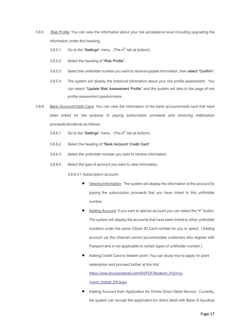- 3.8.5 Risk Profile: You can view the information about your risk acceptance level including upgrading the information under this heading.
	- 3.8.5.1 Go to the "Settings" menu. (The 4<sup>th</sup> tab at bottom).
	- 3.8.5.2 Select the heading of **"Risk Profile".**
	- 3.8.5.3 Select the unitholder number you want to retrieve/update information, then **select "Confirm".**
	- 3.8.5.4 The system will display the historical information about your risk profile assessment. You can select **"Update Risk Assessment Profile"** and the system will take to the page of risk profile assessment questionnaire**.**
- 3.8.6 Bank Account/Credit Card: You can view the information of the bank account/credit card that have been linked for the purpose of paying subscription proceeds and receiving redemption proceeds/dividends as follows:
	- 3.8.6.1 Go to the "**Settings**" menu. (The 4<sup>th</sup> tab at bottom).
	- 3.8.6.2 Select the heading of **"Bank Account/ Credit Card**".
	- 3.8.6.3 Select the unitholder number you want to retrieve information.
	- 3.8.6.4 Select the type of account you want to view information.

3.8.6.4.1 Subscription account:

- Viewing Information: The system will display the information of the account for paying the subscription proceeds that you have linked to this unitholder number.
- Adding Account: If you want to add an account you can select the **"+"** button. The system will display the accounts that have been linked to other unitholder numbers under the same Citizen ID Card number for you to select. (Adding account via this channel cannot accommodate customers who register with Passport and is not applicable to certain types of unitholder number.)
- Adding Credit Card to redeem point: You can study how to apply for point redemption and proceed further at this link: [https://www.krungsriasset.com/EN/PDF/Redeem\\_Point-to](https://www.krungsriasset.com/EN/PDF/Redeem_Point-to-invest_mobile_EN.aspx)[invest\\_mobile\\_EN.aspx](https://www.krungsriasset.com/EN/PDF/Redeem_Point-to-invest_mobile_EN.aspx)
- Adding Account from Application for Online Direct Debit Service: Currently, the system can accept the application for direct debit with Bank of Ayudhya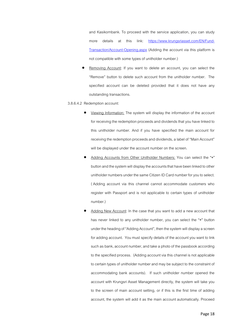and Kasikornbank. To proceed with the service application, you can study more details at this link: [https://www.krungsriasset.com/EN/Fund-](https://www.krungsriasset.com/EN/Fund-Transaction/Account-Opening.aspx)[Transaction/Account-Opening.aspx](https://www.krungsriasset.com/EN/Fund-Transaction/Account-Opening.aspx) (Adding the account via this platform is not compatible with some types of unitholder number.)

- Removing Account: If you want to delete an account, you can select the "Remove" button to delete such account from the unitholder number. The specified account can be deleted provided that it does not have any outstanding transactions.
- 3.8.6.4.2 Redemption account:
	- Viewing Information: The system will display the information of the account for receiving the redemption proceeds and dividends that you have linked to this unitholder number. And if you have specified the main account for receiving the redemption proceeds and dividends, a label of "Main Account" will be displayed under the account number on the screen.
	- Adding Accounts from Other Unitholder Numbers: You can select the **"+"**  button and the system will display the accounts that have been linked to other unitholder numbers under the same Citizen ID Card number for you to select. ( Adding account via this channel cannot accommodate customers who register with Passport and is not applicable to certain types of unitholder number.)
	- Adding New Account: In the case that you want to add a new account that has never linked to any unitholder number, you can select the **"+"** button under the heading of "Adding Account", then the system will display a screen for adding account. You must specify details of the account you want to link such as bank, account number, and take a photo of the passbook according to the specified process. (Adding account via this channel is not applicable to certain types of unitholder number and may be subject to the constraint of accommodating bank accounts). If such unitholder number opened the account with Krungsri Asset Management directly, the system will take you to the screen of main account setting, or if this is the first time of adding account, the system will add it as the main account automatically. Proceed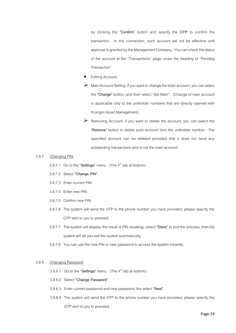by clicking the **"Confirm"** button and specify the **OTP** to confirm the transaction. In this connection, such account will not be effective until approval is granted by the Management Company. You can check the status of the account at the "Transactions" page under the heading of "Pending Transaction".

- **Editing Account**
- $\triangleright$  Main Account Setting: if you want to change the main account, you can select the **"Change"** button, and then select "Set Main". (Change of main account is applicable only to the unitholder numbers that are directly opened with Krungsri Asset Management).
- ➢ Removing Account: if you want to delete the account, you can select the **"Remove"** button to delete such account form the unitholder number. The specified account can be deleted provided that it does not have any outstanding transactions and is not the main account.

#### 3.8.7 Changing PIN:

3.8.7.1 Go to the "Settings" menu. (The  $4<sup>th</sup>$  tab at bottom).

- 3.8.7.2 Select **"Change PIN".**
- 3.8.7.3 Enter current PIN.
- 3.8.7.4 Enter new PIN.
- 3.8.7.5 Confirm new PIN.
- 3.8.7.6 The system will send the OTP to the phone number you have provided, please specify the OTP sent to you to proceed.
- 3.8.7.7 The system will display the result of PIN resetting, select **"Done"** to end the process, then the system will let you exit the system automatically.
- 3.8.7.8 You can use the new PIN or new password to access the system instantly.

#### 3.8.8 Changing Password:

- 3.8.8.1 Go to the "Settings" menu. (The 4<sup>th</sup> tab at bottom).
- 3.8.8.2 Select **"Change Password".**
- 3.8.8.3 Enter current password and new password, the select **"Next"**.
- 3.8.8.4 The system will send the OTP to the phone number you have provided, please specify the OTP sent to you to proceed.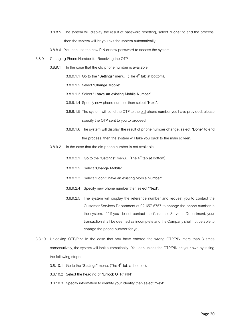- 3.8.8.5 The system will display the result of password resetting, select **"Done"** to end the process, then the system will let you exit the system automatically.
- 3.8.8.6 You can use the new PIN or new password to access the system.
- 3.8.9 Changing Phone Number for Receiving the OTP
	- 3.8.9.1 In the case that the old phone number is available

3.8.9.1.1 Go to the "Settings" menu. (The 4<sup>th</sup> tab at bottom).

- 3.8.9.1.2 Select **"Change Mobile".**
- 3.8.9.1.3 Select "**I have an existing Mobile Number".**
- 3.8.9.1.4 Specify new phone number then select **"Next".**
- 3.8.9.1.5 The system will send the OTP to the old phone number you have provided, please specify the OTP sent to you to proceed.
- 3.8.9.1.6 The system will display the result of phone number change, select **"Done"** to end the process, then the system will take you back to the main screen.
- 3.8.9.2 In the case that the old phone number is not available
	- 3.8.9.2.1 Go to the "Settings" menu. (The 4<sup>th</sup> tab at bottom).
	- 3.8.9.2.2 Select **"Change Mobile".**
	- 3.8.9.2.3 Select "I don't' have an existing Mobile Number**".**
	- 3.8.9.2.4 Specify new phone number then select **"Next".**
	- 3.8.9.2.5 The system will display the reference number and request you to contact the Customer Services Department at 02-657-5757 to change the phone number in the system. \*\*If you do not contact the Customer Services Department, your transaction shall be deemed as incomplete and the Company shall not be able to change the phone number for you.
- 3.8.10 Unlocking OTP/PIN: In the case that you have entered the wrong OTP/PIN more than 3 times consecutively, the system will lock automatically. You can unlock the OTP/PIN on your own by taking the following steps:
	- 3.8.10.1 Go to the "Settings" menu. (The  $4<sup>th</sup>$  tab at bottom).
	- 3.8.10.2 Select the heading of **"Unlock OTP/ PIN"**
	- 3.8.10.3 Specify information to identify your identity then select **"Next"**.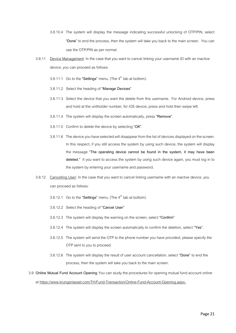- 3.8.10.4 The system will display the message indicating successful unlocking of OTP/PIN, select **"Done"** to end the process, then the system will take you back to the main screen. You can use the OTP/PIN as per normal.
- 3.8.11 Device Management: In the case that you want to cancel linking your username ID with an inactive device, you can proceed as follows:
	- 3.8.11.1 Go to the "Settings" menu. (The  $4<sup>th</sup>$  tab at bottom).
	- 3.8.11.2 Select the heading of **"Manage Devices"**
	- 3.8.11.3 Select the device that you want the delete from this username. For Android device, press and hold at the unitholder number, for iOS device, press and hold then swipe left.
	- 3.8.11.4 The system will display the screen automatically, press **"Remove"**.
	- 3.8.11.5 Confirm to delete the device by selecting **"OK"**.
	- 3.8.11.6 The device you have selected will disappear from the list of devices displayed on the screen. In this respect, if you still access the system by using such device, the system will display the message **"The operating device cannot be found in the system, it may have been deleted."** It you want to access the system by using such device again, you must log in to the system by entering your username and password.
- 3.8.12 Cancelling User: In the case that you want to cancel linking username with an inactive device, you can proceed as follows:
	- 3.8.12.1 Go to the "Settings" menu. (The 4<sup>th</sup> tab at bottom).
	- 3.8.12.2 Select the heading of **"Cancel User"**
	- 3.8.12.3 The system will display the warning on the screen, select **"Confirm"**
	- 3.8.12.4 The system will display the screen automatically to confirm the deletion, select **"Yes"**.
	- 3.8.12.5 The system will send the OTP to the phone number you have provided, please specify the OTP sent to you to proceed.
	- 3.8.12.6 The system will display the result of user account cancellation, select **"Done"** to end the process, then the system will take you back to the main screen.
- 3.9 **Online Mutual Fund Account Opening** You can study the procedures for opening mutual fund account online at<https://www.krungsriasset.com/TH/Fund-Transaction/Online-Fund-Account-Opening.aspx>**.**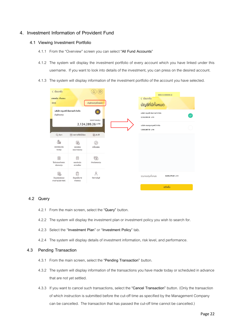# **4. Investment Information of Provident Fund**

## **4.1 Viewing Investment Portfolio**

- 4.1.1 From the "Overview" screen you can select **"All Fund Accounts**"
- 4.1.2 The system will display the investment portfolio of every account which you have linked under this username. If you want to look into details of the investment, you can press on the desired account.
- 4.1.3 The system will display information of the investment portfolio of the account you have selected.

| $\langle$ ย้อนกลับ                        |                               | 0                     |
|-------------------------------------------|-------------------------------|-----------------------|
| นายขยัน เก็บออม<br>0036                   |                               | บัญชีกองทุนทั้งหมด >  |
| บัญชีกองทุน                               | บริษัท กรุงศรี จัดการดี จำกัด | ยอดการลงทุน           |
|                                           |                               | 2,124,289.26 unn      |
| Q AUK1                                    | <b>जि</b> รายการที่ยังไม่มีผล | <b>最小动</b>            |
| å<br>ตรวจสอบเงิน<br>noonu                 | 勗<br>ตรวจสอบ<br>แผนการลงทุน   | $(\pm)$<br>เปลี่ยนแผน |
| 目<br>ใบรับรองแจ้งยอด<br>เงินทองทน         | 囯<br>แบบประเมิน<br>ความเสี่ยง | 局<br>จ่ายเงินกองทุน   |
| 勗<br>ข้อมูลแผนสมดุล<br>ตามอายุ(Life Path) | 侵<br>ช้อมูลนโยบาย<br>nnsavnu  | 2<br>จัดการบัญชี      |
|                                           |                               |                       |

# **4.2 Query**

- 4.2.1 From the main screen, select the **"Query"** button.
- 4.2.2 The system will display the investment plan or investment policy you wish to search for.
- 4.2.3 Select the "**Investment Plan**" or "**Investment Policy**" tab.
- 4.2.4 The system will display details of investment information, risk level, and performance.

## **4.3 Pending Transaction**

- 4.3.1 From the main screen, select the **"Pending Transaction"** button.
- 4.3.2 The system will display information of the transactions you have made today or scheduled in advance that are not yet settled.
- 4.3.3 If you want to cancel such transactions, select the **"Cancel Transaction"** button. (Only the transaction of which instruction is submitted before the cut-off time as specified by the Management Company can be cancelled. The transaction that has passed the cut-off time cannot be cancelled.)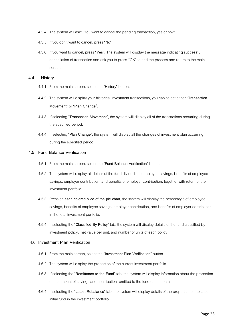- 4.3.4 The system will ask: "You want to cancel the pending transaction, yes or no?"
- 4.3.5 If you don't want to cancel, press **"No"**.
- 4.3.6 If you want to cancel, press "**Yes**". The system will display the message indicating successful cancellation of transaction and ask you to press "OK" to end the process and return to the main screen.

#### **4.4 History**

- 4.4.1 From the main screen, select the **"History"** button.
- 4.4.2 The system will display your historical investment transactions, you can select either "**Transaction Movement"** or **"Plan Change"**.
- 4.4.3 If selecting **"Transaction Movement"**, the system will display all of the transactions occurring during the specified period.
- 4.4.4 If selecting **"Plan Change"**, the system will display all the changes of investment plan occurring during the specified period.

## **4.5 Fund Balance Verification**

- 4.5.1 From the main screen, select the**"Fund Balance Verification"** button.
- 4.5.2 The system will display all details of the fund divided into employee savings, benefits of employee savings, employer contribution, and benefits of employer contribution, together with return of the investment portfolio.
- 4.5.3 Press on **each colored slice of the pie chart**, the system will display the percentage of employee savings, benefits of employee savings, employer contribution, and benefits of employer contribution in the total investment portfolio.
- 4.5.4 If selecting the **"Classified By Policy"** tab, the system will display details of the fund classified by investment policy, net value per unit, and number of units of each policy

### **4.6 Investment Plan Verification**

- 4.6.1 From the main screen, select the **"Investment Plan Verification"** button.
- 4.6.2 The system will display the proportion of the current investment portfolio.
- 4.6.3 If selecting the **"Remittance to the Fund"** tab, the system will display information about the proportion of the amount of savings and contribution remitted to the fund each month.
- 4.6.4 If selecting the **"Latest Rebalance"** tab, the system will display details of the proportion of the latest initial fund in the investment portfolio.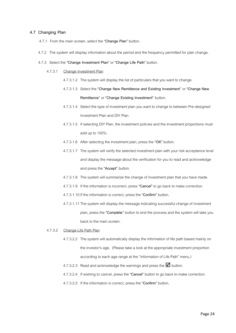## **4.7 Changing Plan**

- 4.7.1 From the main screen, select the **"Change Plan"** button.
- 4.7.2 The system will display information about the period and the frequency permitted for plan change.
- 4.7.3 Select the **"Change Investment Plan"** or **"Change Life Path"** button.
	- 4.7.3.1 Change Investment Plan
		- 4.7.3.1.2 The system will display the list of particulars that you want to change.
		- 4.7.3.1.3 Select the **"Change New Remittance and Existing Investment**" or **"Change New Remittance**"or **"Change Existing Investment"** button.
		- 4.7.3.1.4 Select the type of investment plan you want to change to between Pre-designed Investment Plan and DIY Plan.
		- 4.7.3.1.5 If selecting DIY Plan, the investment policies and the investment proportions must add up to 100%.
		- 4.7.3.1.6 After selecting the investment plan, press the **"OK"** button.
		- 4.7.3.1.7 The system will verify the selected investment plan with your risk acceptance level and display the message about the verification for you to read and acknowledge and press the **"Accept"** button.
		- 4.7.3.1.8 The system will summarize the change of investment plan that you have made.
		- 4.7.3.1.9 If the information is incorrect, press **"Cancel"** to go back to make correction.
		- 4.7.3.1.10If the information is correct, press the **"Confirm"** button.
		- 4.7.3.1.11The system will display the message indicating successful change of investment plan, press the **"Complete**" button to end the process and the system will take you back to the main screen.
	- 4.7.3.2 Change Life Path Plan
		- 4.7.3.2.2 The system will automatically display the information of life path based mainly on the investor's age. (Please take a look at the appropriate investment proportion according to each age range at the "Information of Life Path" menu.)
		- 4.7.3.2.3 Read and acknowledge the warnings and press the  $\blacksquare$  button.
		- 4.7.3.2.4 If wishing to cancel, press the**"Cancel"** button to go back to make correction.
		- 4.7.3.2.5 If the information is correct, press the **"Confirm"** button.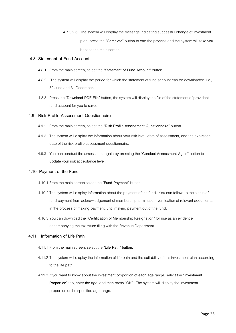4.7.3.2.6 The system will display the message indicating successful change of investment plan, press the **"Complete"** button to end the process and the system will take you back to the main screen.

## **4.8 Statement of Fund Account**

- 4.8.1 From the main screen, select the **"Statement of Fund Account"** button.
- 4.8.2 The system will display the period for which the statement of fund account can be downloaded, i.e., 30 June and 31 December.
- 4.8.3 Press the **"Download PDF File"** button, the system will display the file of the statement of provident fund account for you to save.

## **4.9 Risk Profile Assessment Questionnaire**

- 4.9.1 From the main screen, select the **"Risk Profile Assessment Questionnaire"** button.
- 4.9.2 The system will display the information about your risk level, date of assessment, and the expiration date of the risk profile assessment questionnaire.
- 4.9.3 You can conduct the assessment again by pressing the **"Conduct Assessment Again"** button to update your risk acceptance level.

## **4.10 Payment of the Fund**

- 4.10.1 From the main screen select the **"Fund Payment"** button.
- 4.10.2 The system will display information about the payment of the fund. You can follow up the status of fund payment from acknowledgement of membership termination, verification of relevant documents, in the process of making payment, until making payment out of the fund.
- 4.10.3 You can download the "Certification of Membership Resignation" for use as an evidence accompanying the tax return filing with the Revenue Department.

### **4.11 Information of Life Path**

- 4.11.1 From the main screen, select the **"Life Path" button.**
- 4.11.2 The system will display the information of life path and the suitability of this investment plan according to the life path.
- 4.11.3 If you want to know about the investment proportion of each age range, select the **"Investment Proportion"** tab, enter the age, and then press "OK". The system will display the investment proportion of the specified age range.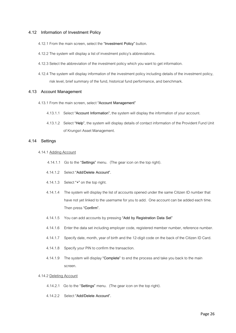## **4.12 Information of Investment Policy**

- 4.12.1 From the main screen, select the **"Investment Policy"** button.
- 4.12.2 The system will display a list of investment policy's abbreviations.
- 4.12.3 Select the abbreviation of the investment policy which you want to get information.
- 4.12.4 The system will display information of the investment policy including details of the investment policy, risk level, brief summary of the fund, historical fund performance, and benchmark.

### **4.13 Account Management**

- 4.13.1 From the main screen, select **"Account Management"**
	- 4.13.1.1 Select **"Account Information"**, the system will display the information of your account.
	- 4.13.1.2 Select **"Help"**, the system will display details of contact information of the Provident Fund Unit of Krungsri Asset Management.

### **4.14 Settings**

- 4.14.1 Adding Account
	- 4.14.1.1 Go to the "**Settings"** menu.(The gear icon on the top right).
	- 4.14.1.2 Select **"Add/Delete Account".**
	- 4.14.1.3 Select **"+"** on the top right.
	- 4.14.1.4 The system will display thelist of accounts opened under the same Citizen ID number that have not yet linked to the username for you to add. One account can be added each time. Then press **"Confirm".**
	- 4.14.1.5 You can add accounts by pressing **"Add by Registration Data Set"**
	- 4.14.1.6 Enter the data set including employer code, registered member number, reference number.
	- 4.14.1.7 Specify date, month, year of birth and the 12-digit code on the back of the Citizen ID Card.
	- 4.14.1.8 Specify your PIN to confirm the transaction.
	- 4.14.1.9 The system will display **"Complete"** to end the process and take you back to the main screen.

### 4.14.2 Deleting Account

- 4.14.2.1 Go to the "**Settings"** menu.(The gear icon on the top right).
- 4.14.2.2 Select **"Add/Delete Account".**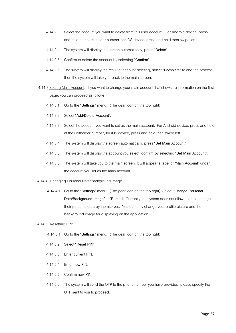- 4.14.2.3 Select the account you want to delete from this user account. For Android device, press and hold at the unitholder number, for iOS device, press and hold then swipe left.
- 4.14.2.4 The system will display the screen automatically, press **"Delete"**.
- 4.14.2.5 Confirm to delete the account by selecting **"Confirm"**.
- 4.14.2.6 The system will display the result of account deleting, **select "Complete"** to end the process, then the system will take you back to the main screen.
- 4.14.3 Setting Main Account: If you want to change your main account that shows up information on the first page, you can proceed as follows:
	- 4.14.3.1 Go to the "**Settings"** menu.(The gear icon on the top right).
	- 4.14.3.2 Select **"Add/Delete Account".**
	- 4.14.3.3 Select the account you want to set as the main account. For Android device, press and hold at the unitholder number, for iOS device, press and hold then swipe left.
	- 4.14.3.4 The system will display the screen automatically, press **"Set Main Account"**.
	- 4.14.3.5 The system will display the account you select, confirm by selecting **"Set Main Account"**.
	- 4.14.3.6 The system will take you to the main screen. It will appear a label of **"Main Account"** under the account you set as the main account.

#### 4.14.4 Changing Personal Data/Background Image

4.14.4.1 Go to the "**Settings"** menu.(The gear icon on the top right). Select **"Change Personal Data/Background Image".** \*\*Remark: Currently the system does not allow users to change their personal data by themselves. You can only change your profile picture and the background image for displaying on the application

#### 4.14.5 Resetting PIN:

- 4.14.5.1 Go to the "**Settings"** menu.(The gear icon on the top right).
- 4.14.5.2 Select **"Reset PIN".**
- 4.14.5.3 Enter current PIN.
- 4.14.5.4 Enter new PIN.
- 4.14.5.5 Confirm new PIN.
- 4.14.5.6 The system will send the OTP to the phone number you have provided, please specify the OTP sent to you to proceed.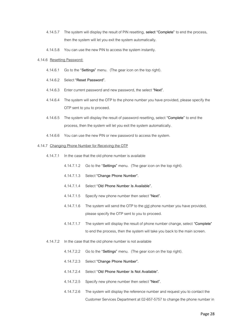- 4.14.5.7 The system will display the result of PIN resetting, **select "Complete"** to end the process, then the system will let you exit the system automatically.
- 4.14.5.8 You can use the new PIN to access the system instantly.

#### 4.14.6 Resetting Password:

- 4.14.6.1 Go to the "**Settings"** menu.(The gear icon on the top right).
- 4.14.6.2 Select **"Reset Password".**
- 4.14.6.3 Enter current password and new password, the select **"Next"**.
- 4.14.6.4 The system will send the OTP to the phone number you have provided, please specify the OTP sent to you to proceed.
- 4.14.6.5 The system will display the result of password resetting, select **"Complete"** to end the process, then the system will let you exit the system automatically.
- 4.14.6.6 You can use the new PIN or new password to access the system.

#### 4.14.7 Changing Phone Number for Receiving the OTP

- 4.14.7.1 In the case that the old phone number is available
	- 4.14.7.1.2 Go to the "**Settings"** menu.(The gear icon on the top right).
	- 4.14.7.1.3 Select **"Change Phone Number".**
	- 4.14.7.1.4 Select "**Old Phone Number Is Available".**
	- 4.14.7.1.5 Specify new phone number then select **"Next".**
	- 4.14.7.1.6 The system will send the OTP to the old phone number you have provided, please specify the OTP sent to you to proceed.
	- 4.14.7.1.7 The system will display the result of phone number change, select **"Complete"**  to end the process, then the system will take you back to the main screen.
- 4.14.7.2 In the case that the old phone number is not available
	- 4.14.7.2.2 Go to the "**Settings"** menu.(The gear icon on the top right).
	- 4.14.7.2.3 Select **"Change Phone Number".**
	- 4.14.7.2.4 Select "**Old Phone Number Is Not Available".**
	- 4.14.7.2.5 Specify new phone number then select **"Next".**
	- 4.14.7.2.6 The system will display the reference number and request you to contact the Customer Services Department at 02-657-5757 to change the phone number in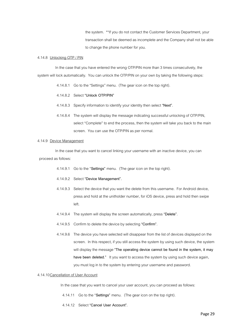the system. \*\*If you do not contact the Customer Services Department, your transaction shall be deemed as incomplete and the Company shall not be able to change the phone number for you.

#### 4.14.8 Unlocking OTP / PIN

In the case that you have entered the wrong OTP/PIN more than 3 times consecutively, the system will lock automatically. You can unlock the OTP/PIN on your own by taking the following steps:

4.14.8.1 Go to the "Settings" menu. (The gear icon on the top right).

#### 4.14.8.2 Select **"Unlock OTP/PIN"**

- 4.14.8.3 Specify information to identify your identity then select **"Next"**.
- 4.14.8.4 The system will display the message indicating successful unlocking of OTP/PIN, select "Complete" to end the process, then the system will take you back to the main screen. You can use the OTP/PIN as per normal.

#### 4.14.9 Device Management

In the case that you want to cancel linking your username with an inactive device, you can proceed as follows:

- 4.14.9.1 Go to the "**Settings"** menu.(The gear icon on the top right).
- 4.14.9.2 Select **"Device Management".**
- 4.14.9.3 Select the device that you want the delete from this username. For Android device, press and hold at the unitholder number, for iOS device, press and hold then swipe left.
- 4.14.9.4 The system will display the screen automatically, press **"Delete"**.
- 4.14.9.5 Confirm to delete the device by selecting **"Confirm"**.
- 4.14.9.6 The device you have selected will disappear from the list of devices displayed on the screen. In this respect, if you still access the system by using such device, the system will display the message **"The operating device cannot be found in the system, it may have been deleted."** It you want to access the system by using such device again, you must log in to the system by entering your username and password.

#### 4.14.10Cancellation of User Account

In the case that you want to cancel your user account, you can proceed as follows:

- 4.14.11 Go to the "**Settings"** menu.(The gear icon on the top right).
- 4.14.12 Select **"Cancel User Account".**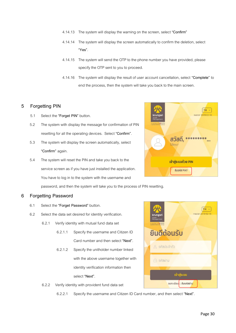- 4.14.13 The system will display the warning on the screen, select **"Confirm"**
- 4.14.14 The system will display the screen automatically to confirm the deletion, select **"Yes"**.
- 4.14.15 The system will send the OTP to the phone number you have provided, please specify the OTP sent to you to proceed.
- 4.14.16 The system will display the result of user account cancellation, select **"Complete"** to end the process, then the system will take you back to the main screen.

# **5 Forgetting PIN**

- 5.1 Select the **"Forget PIN"** button.
- 5.2 The system with display the message for confirmation of PIN resetting for all the operating devices. Select **"Confirm"**.
- 5.3 The system will display the screen automatically, select **"Confirm"** again.
- 5.4 The system will reset the PIN and take you back to the service screen as if you have just installed the application. You have to log in to the system with the username and

password, and then the system will take you to the process of PIN resetting.

## **6 Forgetting Password**

- 6.1 Select the **"Forget Password"** button.
- 6.2 Select the data set desired for identity verification.
	- 6.2.1 Verify identity with mutual fund data set
		- 6.2.1.1 Specify the username and Citizen ID Card number and then select **"Next"**.
		- 6.2.1.2 Specify the unitholder number linked with the above username together with identity verification information then select **"Next"**.



6.2.2.1 Specify the username and Citizen ID Card number,and then select **"Next"**.